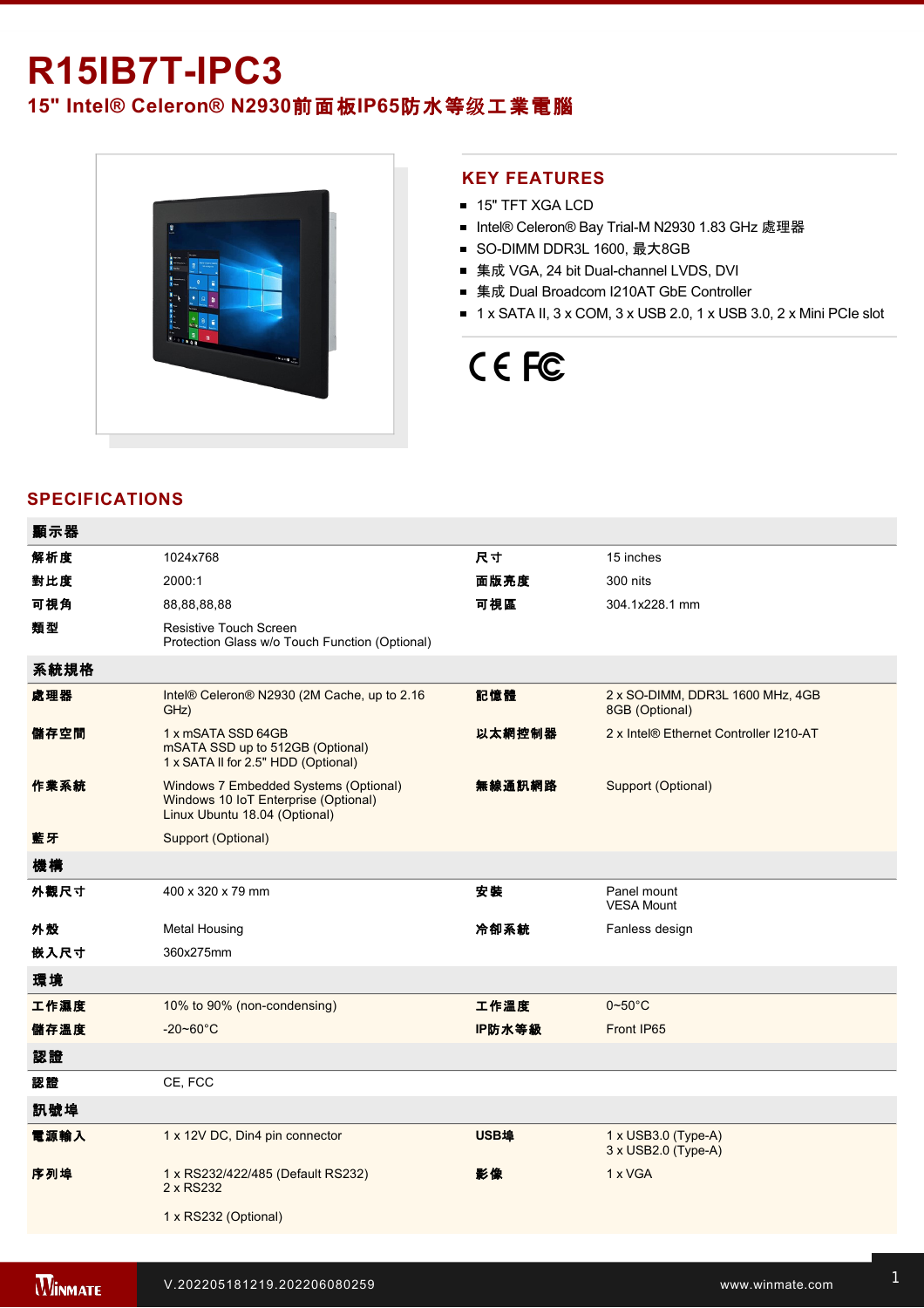# **R15IB7T-IPC3**

**15" Intel® Celeron® N2930**前面板**IP65**防水等级工業電腦



## **KEY FEATURES**

- 15" TFT XGA LCD
- Intel® Celeron® Bay Trial-M N2930 1.83 GHz 處理器
- SO-DIMM DDR3L 1600, 最大8GB
- 集成 VGA, 24 bit Dual-channel LVDS, DVI
- 集成 Dual Broadcom I210AT GbE Controller
- $\blacksquare$  1 x SATA II, 3 x COM, 3 x USB 2.0, 1 x USB 3.0, 2 x Mini PCIe slot

# CE FC

# **SPECIFICATIONS**

| 顯示器  |                                                                                                                |        |                                                    |
|------|----------------------------------------------------------------------------------------------------------------|--------|----------------------------------------------------|
| 解析度  | 1024x768                                                                                                       | 尺寸     | 15 inches                                          |
| 對比度  | 2000:1                                                                                                         | 面版亮度   | 300 nits                                           |
| 可視角  | 88,88,88,88                                                                                                    | 可視區    | 304.1x228.1 mm                                     |
| 類型   | <b>Resistive Touch Screen</b><br>Protection Glass w/o Touch Function (Optional)                                |        |                                                    |
| 系統規格 |                                                                                                                |        |                                                    |
| 處理器  | Intel® Celeron® N2930 (2M Cache, up to 2.16<br>GHz)                                                            | 記憶體    | 2 x SO-DIMM, DDR3L 1600 MHz, 4GB<br>8GB (Optional) |
| 儲存空間 | 1 x mSATA SSD 64GB<br>mSATA SSD up to 512GB (Optional)<br>1 x SATA II for 2.5" HDD (Optional)                  | 以太網控制器 | 2 x Intel® Ethernet Controller I210-AT             |
| 作業系統 | Windows 7 Embedded Systems (Optional)<br>Windows 10 IoT Enterprise (Optional)<br>Linux Ubuntu 18.04 (Optional) | 無線通訊網路 | Support (Optional)                                 |
| 藍牙   | Support (Optional)                                                                                             |        |                                                    |
| 機構   |                                                                                                                |        |                                                    |
| 外觀尺寸 | 400 x 320 x 79 mm                                                                                              | 安装     | Panel mount<br><b>VESA Mount</b>                   |
| 外殼   | <b>Metal Housing</b>                                                                                           | 冷卻系統   | Fanless design                                     |
| 嵌入尺寸 | 360x275mm                                                                                                      |        |                                                    |
| 環境   |                                                                                                                |        |                                                    |
| 工作濕度 | 10% to 90% (non-condensing)                                                                                    | 工作溫度   | $0 - 50$ °C                                        |
| 儲存溫度 | $-20 - 60^{\circ}$ C                                                                                           | IP防水等級 | Front IP65                                         |
| 認證   |                                                                                                                |        |                                                    |
| 認證   | CE, FCC                                                                                                        |        |                                                    |
| 訊號埠  |                                                                                                                |        |                                                    |
| 電源輸入 | 1 x 12V DC, Din4 pin connector                                                                                 | USB埠   | 1 x USB3.0 (Type-A)<br>3 x USB2.0 (Type-A)         |
| 序列埠  | 1 x RS232/422/485 (Default RS232)<br>2 x RS232                                                                 | 影像     | 1 x VGA                                            |
|      | 1 x RS232 (Optional)                                                                                           |        |                                                    |
|      |                                                                                                                |        |                                                    |

Line in

1 x Led indicator for storage and storage in the storage storage in the storage storage in the storage storage